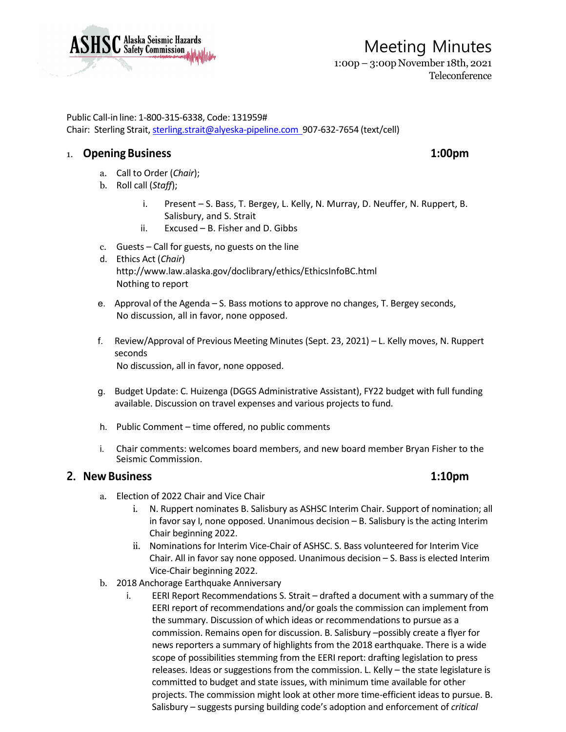

# Meeting Minutes 1:00p – 3:00p November 18th, 2021

Teleconference

Public Call-in line: 1-800-315-6338, Code: 131959# Chair: Sterling Strait, [sterling.strait@alyeska-pipeline.com](mailto:sterling.strait@alyeska-pipeline.com) 907-632-7654 (text/cell)

# 1. **Opening Business 1:00pm**

- a. Call to Order (*Chair*);
- b. Roll call (*Staff*);
	- i. Present S. Bass, T. Bergey, L. Kelly, N. Murray, D. Neuffer, N. Ruppert, B. Salisbury, and S. Strait
	- ii. Excused B. Fisher and D. Gibbs
- c. Guests Call for guests, no guests on the line
- d. Ethics Act (*Chair*) <http://www.law.alaska.gov/doclibrary/ethics/EthicsInfoBC.html> Nothing to report
- e. Approval of the Agenda S. Bass motions to approve no changes, T. Bergey seconds, No discussion, all in favor, none opposed.
- f. Review/Approval of Previous Meeting Minutes (Sept. 23, 2021) L. Kelly moves, N. Ruppert seconds No discussion, all in favor, none opposed.
- g. Budget Update: C. Huizenga (DGGS Administrative Assistant), FY22 budget with full funding available. Discussion on travel expenses and various projects to fund.
- h. Public Comment time offered, no public comments
- i. Chair comments: welcomes board members, and new board member Bryan Fisher to the Seismic Commission.

### **2. New Business 1:10pm**

- a. Election of 2022 Chair and Vice Chair
	- i. N. Ruppert nominates B. Salisbury as ASHSC Interim Chair. Support of nomination; all in favor say I, none opposed. Unanimous decision – B. Salisbury is the acting Interim Chair beginning 2022.
	- ii. Nominations for Interim Vice-Chair of ASHSC. S. Bass volunteered for Interim Vice Chair. All in favor say none opposed. Unanimous decision – S. Bass is elected Interim Vice-Chair beginning 2022.
- b. 2018 Anchorage Earthquake Anniversary
	- i. EERI Report Recommendations S. Strait drafted a document with a summary of the EERI report of recommendations and/or goals the commission can implement from the summary. Discussion of which ideas or recommendations to pursue as a commission. Remains open for discussion. B. Salisbury –possibly create a flyer for news reporters a summary of highlights from the 2018 earthquake. There is a wide scope of possibilities stemming from the EERI report: drafting legislation to press releases. Ideas or suggestions from the commission. L. Kelly – the state legislature is committed to budget and state issues, with minimum time available for other projects. The commission might look at other more time-efficient ideas to pursue. B. Salisbury – suggests pursing building code's adoption and enforcement of *critical*